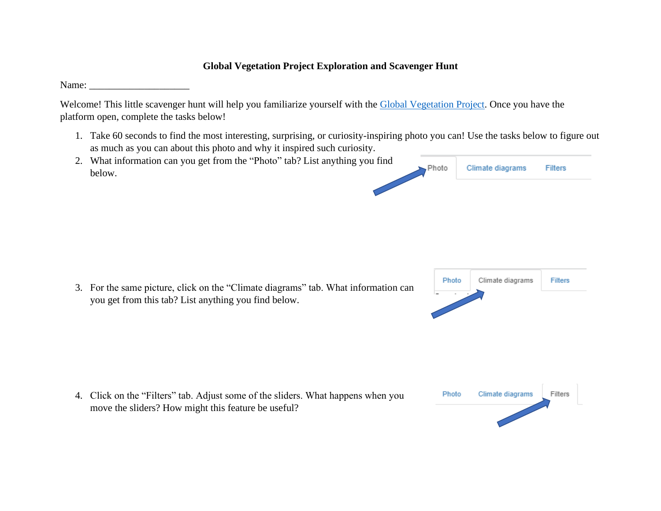## **Global Vegetation Project Exploration and Scavenger Hunt**

Name:

Welcome! This little scavenger hunt will help you familiarize yourself with the [Global Vegetation Project.](https://pathfinder.arcc.uwyo.edu:3838/content/4/) Once you have the platform open, complete the tasks below!

1. Take 60 seconds to find the most interesting, surprising, or curiosity-inspiring photo you can! Use the tasks below to figure out as much as you can about this photo and why it inspired such curiosity.

| 2. What information can you get from the "Photo" tab? List anything you find |  |                        |         |
|------------------------------------------------------------------------------|--|------------------------|---------|
| below.                                                                       |  | Photo Climate diagrams | Filters |
|                                                                              |  |                        |         |

3. For the same picture, click on the "Climate diagrams" tab. What information can you get from this tab? List anything you find below.



4. Click on the "Filters" tab. Adjust some of the sliders. What happens when you Photo Climate diagrams Filters move the sliders? How might this feature be useful?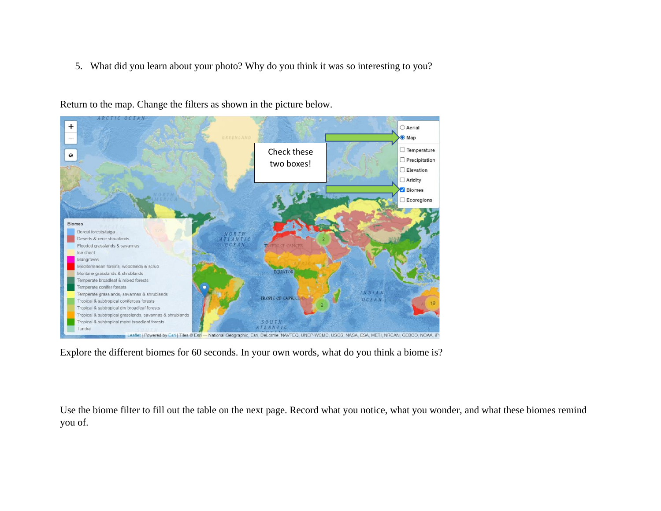5. What did you learn about your photo? Why do you think it was so interesting to you?



Return to the map. Change the filters as shown in the picture below.

Explore the different biomes for 60 seconds. In your own words, what do you think a biome is?

Use the biome filter to fill out the table on the next page. Record what you notice, what you wonder, and what these biomes remind you of.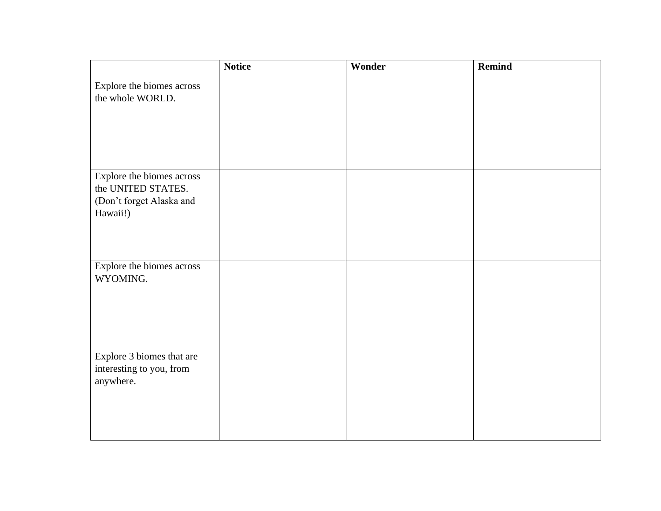|                           | <b>Notice</b> | Wonder | Remind |
|---------------------------|---------------|--------|--------|
| Explore the biomes across |               |        |        |
| the whole WORLD.          |               |        |        |
|                           |               |        |        |
|                           |               |        |        |
|                           |               |        |        |
|                           |               |        |        |
| Explore the biomes across |               |        |        |
| the UNITED STATES.        |               |        |        |
| (Don't forget Alaska and  |               |        |        |
| Hawaii!)                  |               |        |        |
|                           |               |        |        |
|                           |               |        |        |
| Explore the biomes across |               |        |        |
| WYOMING.                  |               |        |        |
|                           |               |        |        |
|                           |               |        |        |
|                           |               |        |        |
|                           |               |        |        |
| Explore 3 biomes that are |               |        |        |
| interesting to you, from  |               |        |        |
| anywhere.                 |               |        |        |
|                           |               |        |        |
|                           |               |        |        |
|                           |               |        |        |
|                           |               |        |        |